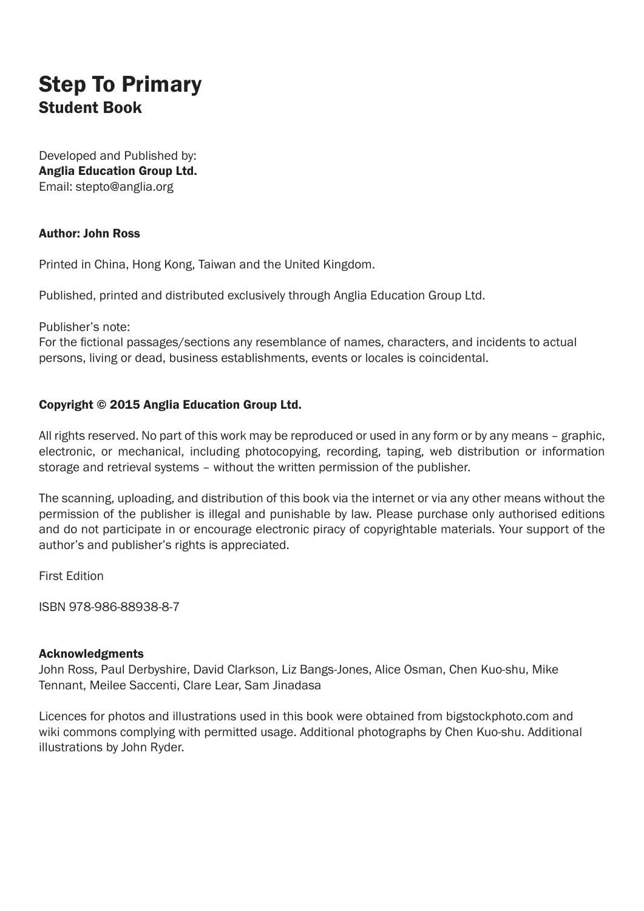### Step To Primary Student Book

Developed and Published by: Anglia Education Group Ltd. Email: stepto@anglia.org

#### Author: John Ross

Printed in China, Hong Kong, Taiwan and the United Kingdom.

Published, printed and distributed exclusively through Anglia Education Group Ltd.

Publisher's note:

For the fictional passages/sections any resemblance of names, characters, and incidents to actual persons, living or dead, business establishments, events or locales is coincidental.

#### Copyright © 2015 Anglia Education Group Ltd.

All rights reserved. No part of this work may be reproduced or used in any form or by any means – graphic, electronic, or mechanical, including photocopying, recording, taping, web distribution or information storage and retrieval systems – without the written permission of the publisher.

The scanning, uploading, and distribution of this book via the internet or via any other means without the permission of the publisher is illegal and punishable by law. Please purchase only authorised editions and do not participate in or encourage electronic piracy of copyrightable materials. Your support of the author's and publisher's rights is appreciated.

First Edition

ISBN 978-986-88938-8-7

#### Acknowledgments

John Ross, Paul Derbyshire, David Clarkson, Liz Bangs-Jones, Alice Osman, Chen Kuo-shu, Mike Tennant, Meilee Saccenti, Clare Lear, Sam Jinadasa

Licences for photos and illustrations used in this book were obtained from bigstockphoto.com and wiki commons complying with permitted usage. Additional photographs by Chen Kuo-shu. Additional illustrations by John Ryder.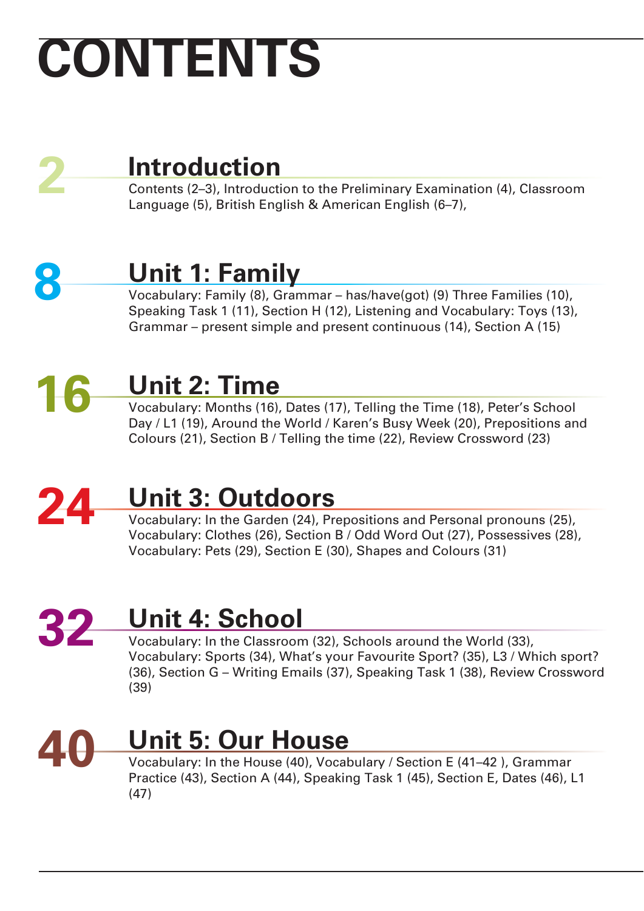# **CONTENTS**



## **Introduction**

Contents (2–3), Introduction to the Preliminary Examination (4), Classroom Language (5), British English & American English (6–7),



## **Unit 1: Family**

Vocabulary: Family (8), Grammar – has/have(got) (9) Three Families (10), Speaking Task 1 (11), Section H (12), Listening and Vocabulary: Toys (13), Grammar – present simple and present continuous (14), Section A (15)

# **16**

## **Unit 2: Time**

Vocabulary: Months (16), Dates (17), Telling the Time (18), Peter's School Day / L1 (19), Around the World / Karen's Busy Week (20), Prepositions and Colours (21), Section B / Telling the time (22), Review Crossword (23)

### **24 Unit 3: Outdoors**

Vocabulary: In the Garden (24), Prepositions and Personal pronouns (25), Vocabulary: Clothes (26), Section B / Odd Word Out (27), Possessives (28), Vocabulary: Pets (29), Section E (30), Shapes and Colours (31)

### **32 Unit 4: School**

Vocabulary: In the Classroom (32), Schools around the World (33), Vocabulary: Sports (34), What's your Favourite Sport? (35), L3 / Which sport? (36), Section G – Writing Emails (37), Speaking Task 1 (38), Review Crossword (39)



## **Unit 5: Our House**

Vocabulary: In the House (40), Vocabulary / Section E (41–42 ), Grammar Practice (43), Section A (44), Speaking Task 1 (45), Section E, Dates (46), L1 (47)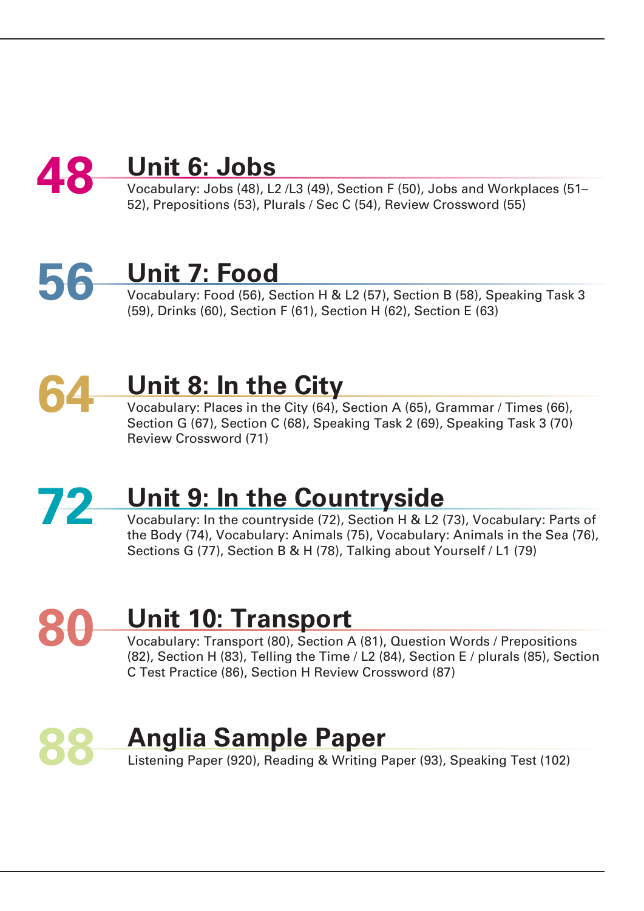### **48 Unit 6: Jobs**

Vocabulary: Jobs (48), L2 /L3 (49), Section F (50), Jobs and Workplaces (51– 52), Prepositions (53), Plurals / Sec C (54), Review Crossword (55)

# **56**

# **Unit 7: Food**

Vocabulary: Food (56), Section H & L2 (57), Section B (58), Speaking Task 3 (59), Drinks (60), Section F (61), Section H (62), Section E (63)

# **64**

### **Unit 8: In the City**

Vocabulary: Places in the City (64), Section A (65), Grammar / Times (66), Section G (67), Section C (68), Speaking Task 2 (69), Speaking Task 3 (70) Review Crossword (71)

### **72 Unit 9: In the Countryside**

Vocabulary: In the countryside (72), Section H & L2 (73), Vocabulary: Parts of the Body (74), Vocabulary: Animals (75), Vocabulary: Animals in the Sea (76), Sections G (77), Section B & H (78), Talking about Yourself / L1 (79)

# **80**

## **Unit 10: Transport**

Vocabulary: Transport (80), Section A (81), Question Words / Prepositions (82), Section H (83), Telling the Time / L2 (84), Section E / plurals (85), Section C Test Practice (86), Section H Review Crossword (87)

### **88 Anglia Sample Paper** Listening Paper (920), Reading & Writing Paper (93), Speaking Test (102)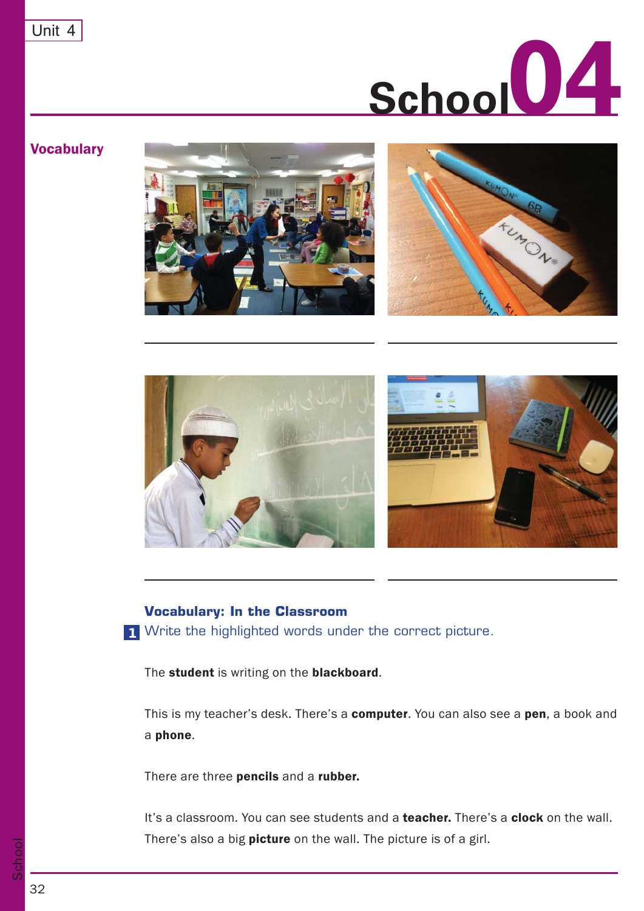

### **Vocabulary**







#### **Vocabulary: In the Classroom**

Write the highlighted words under the correct picture. **1**

The student is writing on the blackboard.

This is my teacher's desk. There's a **computer**. You can also see a **pen**, a book and a phone.

There are three **pencils** and a **rubber.** 

It's a classroom. You can see students and a **teacher.** There's a **clock** on the wall. There's also a big picture on the wall. The picture is of a girl.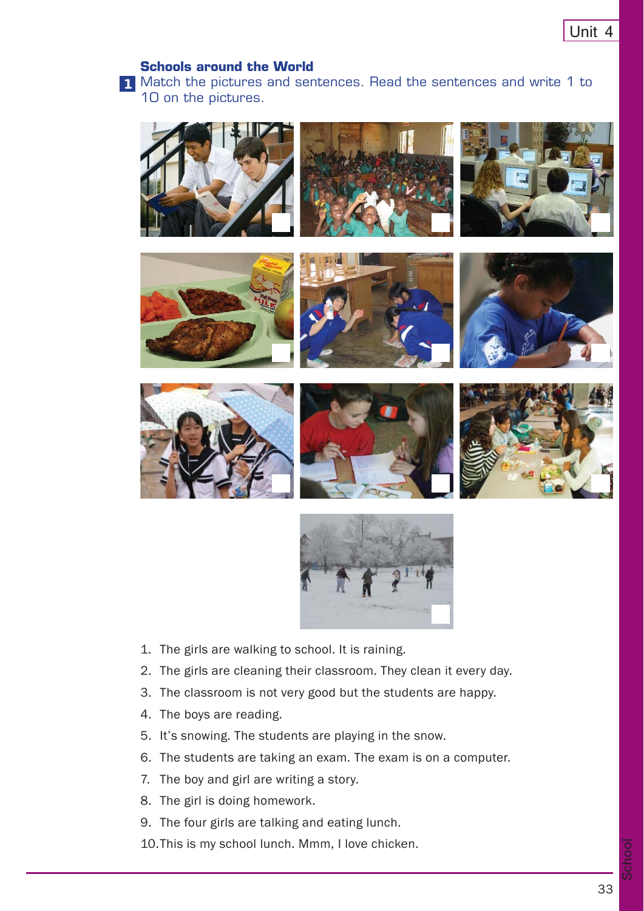#### **Schools around the World**

Match the pictures and sentences. Read the sentences and write 1 to **1** 10 on the pictures.

















- 1. The girls are walking to school. It is raining.
- 2. The girls are cleaning their classroom. They clean it every day.
- 3. The classroom is not very good but the students are happy.
- 4. The boys are reading.
- 5. It's snowing. The students are playing in the snow.
- 6. The students are taking an exam. The exam is on a computer.
- 7. The boy and girl are writing a story.
- 8. The girl is doing homework.
- 9. The four girls are talking and eating lunch.
- 10. This is my school lunch. Mmm, I love chicken.

School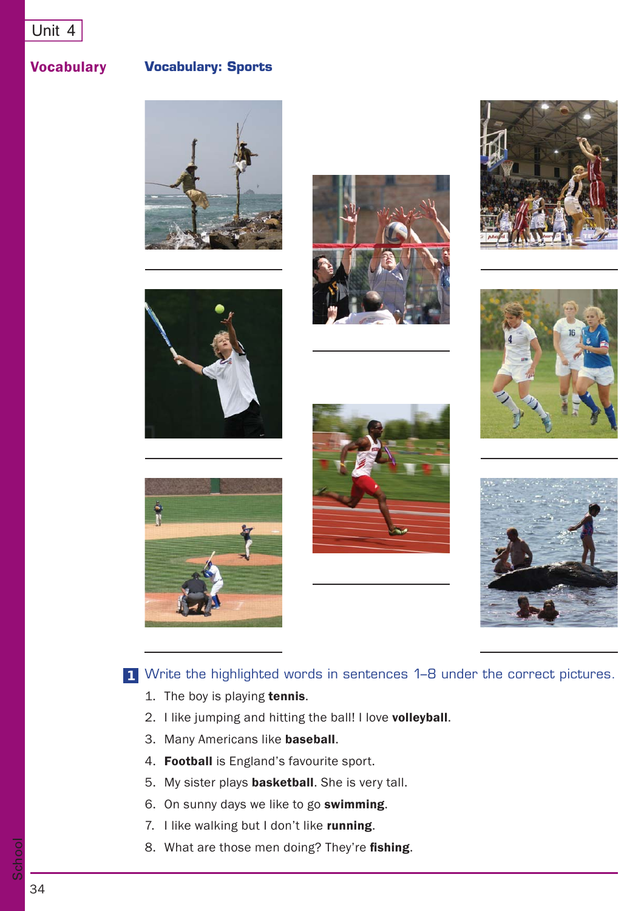### Vocabulary

**Vocabulary: Sports**















Write the highlighted words in sentences 1–8 under the correct pictures. **1**

- 1. The boy is playing tennis.
- 2. I like jumping and hitting the ball! I love volleyball.
- 3. Many Americans like baseball.
- 4. Football is England's favourite sport.
- 5. My sister plays **basketball**. She is very tall.
- 6. On sunny days we like to go swimming.
- 7. I like walking but I don't like running.
- 8. What are those men doing? They're fishing.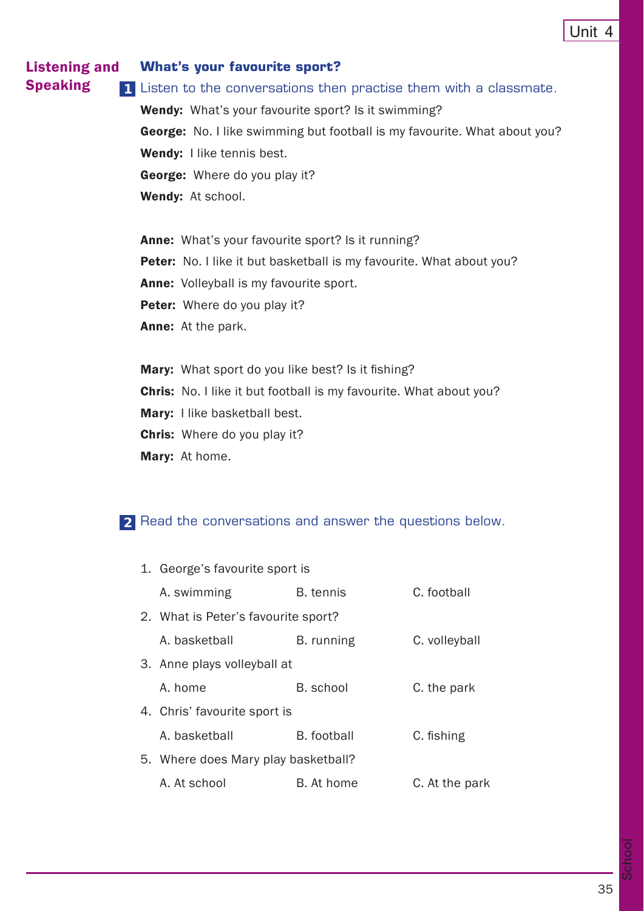#### Listening and Speaking **What's your favourite sport?**

Listen to the conversations then practise them with a classmate. **1** Wendy: What's your favourite sport? Is it swimming? George: No. I like swimming but football is my favourite. What about you? Wendy: I like tennis best. George: Where do you play it? Wendy: At school.

Anne: What's your favourite sport? Is it running? Peter: No. I like it but basketball is my favourite. What about you? Anne: Volleyball is my favourite sport. Peter: Where do you play it? Anne: At the park.

Mary: What sport do you like best? Is it fishing?

Chris: No. I like it but football is my favourite. What about you?

Mary: I like basketball best.

Chris: Where do you play it?

Mary: At home.

### Read the conversations and answer the questions below. **2**

| 1. George's favourite sport is      |                  |                |
|-------------------------------------|------------------|----------------|
| A. swimming                         | <b>B.</b> tennis | C. football    |
| 2. What is Peter's favourite sport? |                  |                |
| A. basketball                       | B. running       | C. volleyball  |
| 3. Anne plays volleyball at         |                  |                |
| A. home                             | B. school        | C. the park    |
| 4. Chris' favourite sport is        |                  |                |
| A. basketball                       | B. football      | C. fishing     |
| 5. Where does Mary play basketball? |                  |                |
| A. At school                        | B. At home       | C. At the park |
|                                     |                  |                |

School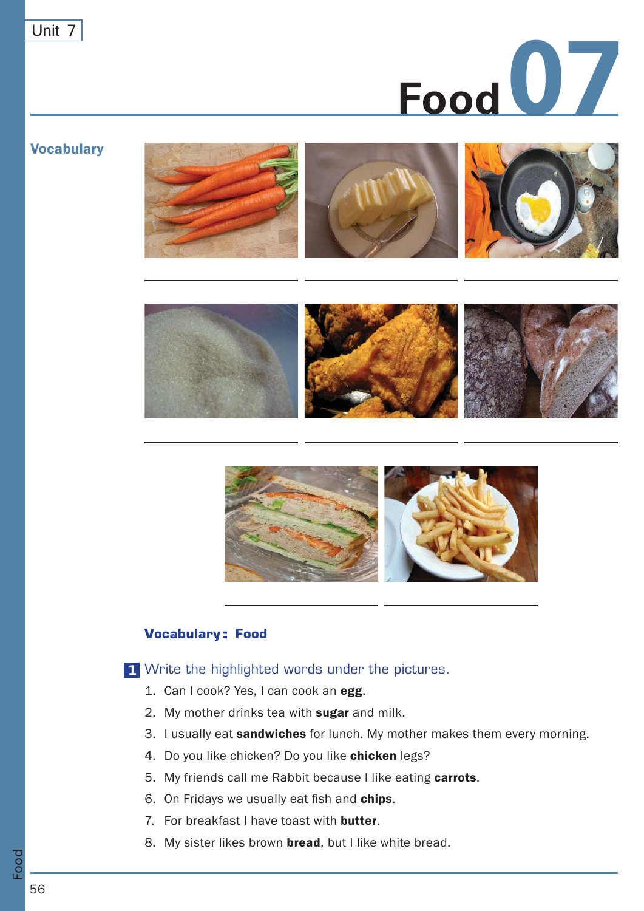

#### **Vocabulary**





### **Vocabulary: Food**

Write the highlighted words under the pictures. **1**

- 1. Can I cook? Yes, I can cook an egg.
- 2. My mother drinks tea with sugar and milk.
- 3. I usually eat sandwiches for lunch. My mother makes them every morning.
- 4. Do you like chicken? Do you like chicken legs?
- 5. My friends call me Rabbit because I like eating carrots.
- 6. On Fridays we usually eat fish and chips.
- 7. For breakfast I have toast with **butter**.
- 8. My sister likes brown **bread**, but I like white bread.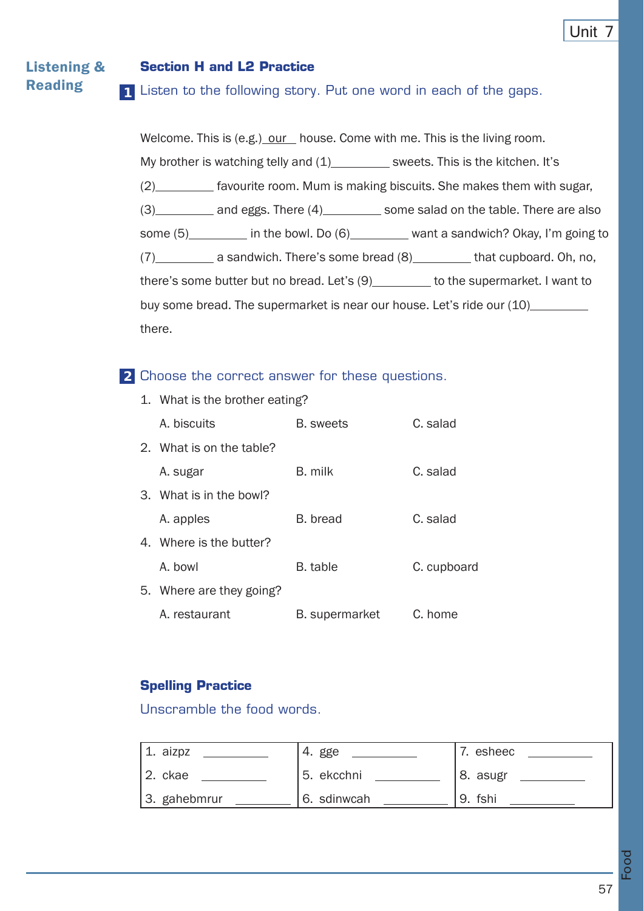#### Listening & Reading **<sup>1</sup> Section H and L2 Practice** 1 Listen to the following story. Put one word in each of the gaps.

Welcome. This is (e.g.) our house. Come with me. This is the living room. My brother is watching telly and  $(1)$  sweets. This is the kitchen. It's (2) favourite room. Mum is making biscuits. She makes them with sugar, (3) and eggs. There (4) some salad on the table. There are also some (5) in the bowl. Do (6) want a sandwich? Okay, I'm going to (7) a sandwich. There's some bread (8) that cupboard. Oh, no, there's some butter but no bread. Let's  $(9)$  to the supermarket. I want to buy some bread. The supermarket is near our house. Let's ride our (10) there.

### Choose the correct answer for these questions. **2**

| 1. What is the brother eating? |                       |             |
|--------------------------------|-----------------------|-------------|
| A. biscuits                    | <b>B.</b> sweets      | C. salad    |
| 2. What is on the table?       |                       |             |
| A. sugar                       | B. milk               | C. salad    |
| 3. What is in the bowl?        |                       |             |
| A. apples                      | B. bread              | C. salad    |
| 4. Where is the butter?        |                       |             |
| A. bowl                        | B. table              | C. cupboard |
| 5. Where are they going?       |                       |             |
| A. restaurant                  | <b>B.</b> supermarket | C. home     |

### **Spelling Practice**

Unscramble the food words.

| 1. aizpz     | 4. gge      | 7. esheec |
|--------------|-------------|-----------|
| $ 2.$ ckae   | 5. ekcchni  | 8. asugr  |
| 3. gahebmrur | 6. sdinwcah | 9. fshi   |